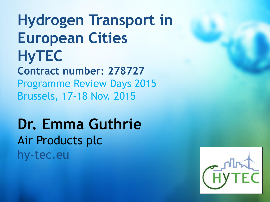**Hydrogen Transport in European Cities HyTEC Contract number: 278727** Programme Review Days 2015 Brussels, 17-18 Nov. 2015

**Dr. Emma Guthrie** Air Products plc hy-tec.eu

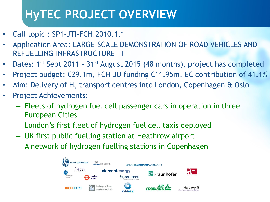# **HyTEC PROJECT OVERVIEW**

- Call topic : SP1-JTI-FCH.2010.1.1
- Application Area: LARGE-SCALE DEMONSTRATION OF ROAD VEHICLES AND REFUELLING INFRASTRUCTURE III
- Dates: 1<sup>st</sup> Sept 2011 31<sup>st</sup> August 2015 (48 months), project has completed
- Project budget: €29.1m, FCH JU funding €11.95m, EC contribution of 41.1%
- Aim: Delivery of  $H_2$  transport centres into London, Copenhagen & Oslo
- Project Achievements:
	- Fleets of hydrogen fuel cell passenger cars in operation in three European Cities
	- London's first fleet of hydrogen fuel cell taxis deployed
	- UK first public fuelling station at Heathrow airport
	- A network of hydrogen fuelling stations in Copenhagen

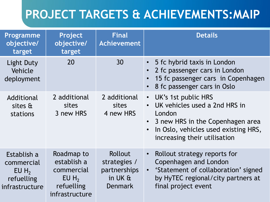## **PROJECT TARGETS & ACHIEVEMENTS:MAIP**

| <b>Programme</b><br>objective/<br>target                                      | Project<br>objective/<br>target                                                                | <b>Final</b><br><b>Achievement</b>                                     | <b>Details</b>                                                                                                                                                                 |
|-------------------------------------------------------------------------------|------------------------------------------------------------------------------------------------|------------------------------------------------------------------------|--------------------------------------------------------------------------------------------------------------------------------------------------------------------------------|
| Light Duty<br>Vehicle<br>deployment                                           | 20                                                                                             | 30                                                                     | 5 fc hybrid taxis in London<br>2 fc passenger cars in London<br>15 fc passenger cars in Copenhagen<br>8 fc passenger cars in Oslo                                              |
| Additional<br>sites &<br>stations                                             | 2 additional<br>sites<br>3 new HRS                                                             | 2 additional<br><b>sites</b><br>4 new HRS                              | • UK's 1st public HRS<br>UK vehicles used a 2nd HRS in<br>London<br>• 3 new HRS in the Copenhagen area<br>In Oslo, vehicles used existing HRS,<br>increasing their utilisation |
| Establish a<br>commercial<br>EUH <sub>2</sub><br>refuelling<br>infrastructure | Roadmap to<br>establish a<br>commercial<br>$EU H$ <sub>2</sub><br>refuelling<br>infrastructure | Rollout<br>strategies /<br>partnerships<br>in UK $a$<br><b>Denmark</b> | Rollout strategy reports for<br>Copenhagen and London<br>• 'Statement of collaboration' signed<br>by HyTEC regional/city partners at<br>final project event                    |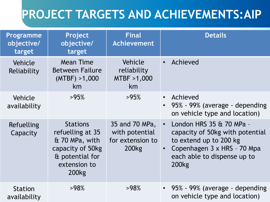## **PROJECT TARGETS AND ACHIEVEMENTS:AIP**

| <b>Programme</b><br>objective/<br>target | Project<br>objective/<br>target                                                                                                   | <b>Final</b><br><b>Achievement</b>                                        | <b>Details</b>                                                                                                                                                                                |
|------------------------------------------|-----------------------------------------------------------------------------------------------------------------------------------|---------------------------------------------------------------------------|-----------------------------------------------------------------------------------------------------------------------------------------------------------------------------------------------|
| Vehicle<br>Reliability                   | <b>Mean Time</b><br><b>Between Failure</b><br>(MTBF) > 1,000<br>km                                                                | Vehicle<br>reliability<br>MTBF >1,000<br>km                               | Achieved<br>$\bullet$                                                                                                                                                                         |
| Vehicle<br>availability                  | >95%                                                                                                                              | >95%                                                                      | Achieved<br>$\bullet$<br>95% - 99% (average - depending<br>$\bullet$<br>on vehicle type and location)                                                                                         |
| Refuelling<br>Capacity                   | <b>Stations</b><br>refuelling at 35<br>& 70 MPa, with<br>capacity of 50kg<br>& potential for<br>extension to<br>200 <sub>kg</sub> | 35 and 70 MPa,<br>with potential<br>for extension to<br>200 <sub>kg</sub> | London HRS 35 & 70 MPa -<br>$\bullet$<br>capacity of 50kg with potential<br>to extend up to 200 kg<br>Copenhagen 3 x HRS - 70 Mpa<br>$\bullet$<br>each able to dispense up to<br><b>200kg</b> |
| <b>Station</b><br>availability           | >98%                                                                                                                              | >98%                                                                      | • 95% - 99% (average - depending<br>on vehicle type and location)                                                                                                                             |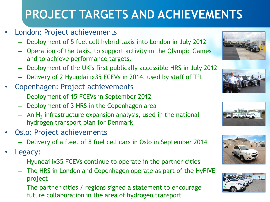# **PROJECT TARGETS AND ACHIEVEMENTS**

- London: Project achievements
	- Deployment of 5 fuel cell hybrid taxis into London in July 2012
	- Operation of the taxis, to support activity in the Olympic Games and to achieve performance targets.
	- Deployment of the UK's first publically accessible HRS in July 2012
	- Delivery of 2 Hyundai ix35 FCEVs in 2014, used by staff of TfL
- Copenhagen: Project achievements
	- Deployment of 15 FCEVs in September 2012
	- Deployment of 3 HRS in the Copenhagen area
	- $-$  An H<sub>2</sub> infrastructure expansion analysis, used in the national hydrogen transport plan for Denmark
- Oslo: Project achievements
	- Delivery of a fleet of 8 fuel cell cars in Oslo in September 2014
- Legacy:
	- Hyundai ix35 FCEVs continue to operate in the partner cities
	- The HRS in London and Copenhagen operate as part of the HyFIVE project
	- The partner cities / regions signed a statement to encourage future collaboration in the area of hydrogen transport









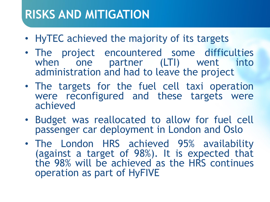#### **RISKS AND MITIGATION**

- HyTEC achieved the majority of its targets
- The project encountered some difficulties when one partner (LTI) went into administration and had to leave the project
- The targets for the fuel cell taxi operation were reconfigured and these targets were achieved
- Budget was reallocated to allow for fuel cell passenger car deployment in London and Oslo
- The London HRS achieved 95% availability (against a target of 98%). It is expected that the 98% will be achieved as the HRS continues operation as part of HyFIVE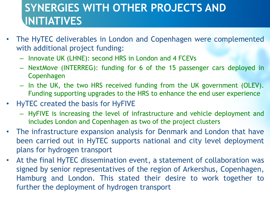#### **SYNERGIES WITH OTHER PROJECTS AND INITIATIVES**

- The HyTEC deliverables in London and Copenhagen were complemented with additional project funding:
	- Innovate UK (LHNE): second HRS in London and 4 FCEVs
	- NextMove (INTERREG): funding for 6 of the 15 passenger cars deployed in Copenhagen
	- In the UK, the two HRS received funding from the UK government (OLEV). Funding supporting upgrades to the HRS to enhance the end user experience
- HyTEC created the basis for HyFIVE
	- HyFIVE is increasing the level of infrastructure and vehicle deployment and includes London and Copenhagen as two of the project clusters
- The infrastructure expansion analysis for Denmark and London that have been carried out in HyTEC supports national and city level deployment plans for hydrogen transport
- At the final HyTEC dissemination event, a statement of collaboration was signed by senior representatives of the region of Arkershus, Copenhagen, Hamburg and London. This stated their desire to work together to further the deployment of hydrogen transport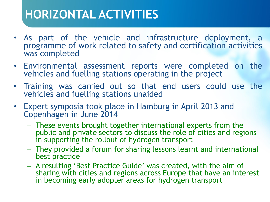### **HORIZONTAL ACTIVITIES**

- As part of the vehicle and infrastructure deployment, a programme of work related to safety and certification activities was completed
- Environmental assessment reports were completed on the vehicles and fuelling stations operating in the project
- Training was carried out so that end users could use the vehicles and fuelling stations unaided
- Expert symposia took place in Hamburg in April 2013 and Copenhagen in June 2014
	- These events brought together international experts from the public and private sectors to discuss the role of cities and regions in supporting the rollout of hydrogen transport
	- They provided a forum for sharing lessons learnt and international best practice
	- A resulting 'Best Practice Guide' was created, with the aim of sharing with cities and regions across Europe that have an interest in becoming early adopter areas for hydrogen transport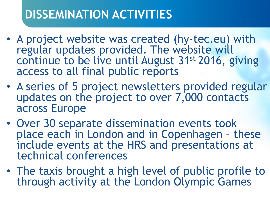### **DISSEMINATION ACTIVITIES**

- A project website was created (hy-tec.eu) with regular updates provided. The website will continue to be live until August 31st 2016, giving access to all final public reports
- A series of 5 project newsletters provided regular updates on the project to over 7,000 contacts across Europe
- Over 30 separate dissemination events took place each in London and in Copenhagen – these include events at the HRS and presentations at technical conferences
- The taxis brought a high level of public profile to through activity at the London Olympic Games